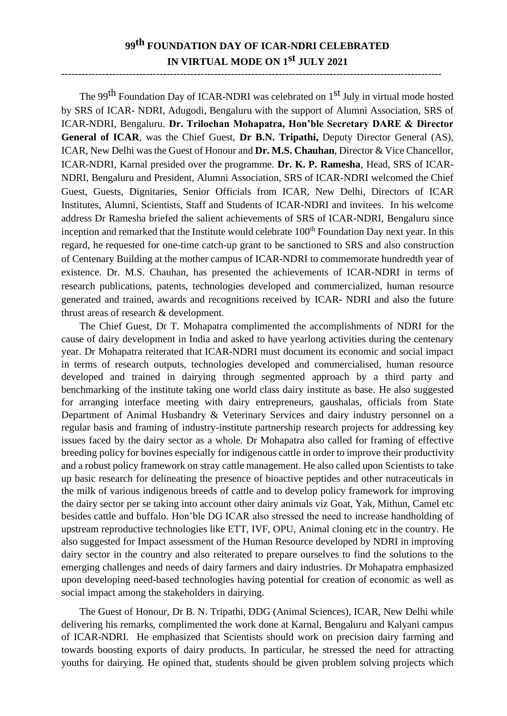## **99th FOUNDATION DAY OF ICAR-NDRI CELEBRATED IN VIRTUAL MODE ON 1st JULY 2021**

The 99<sup>th</sup> Foundation Day of ICAR-NDRI was celebrated on 1<sup>st</sup> July in virtual mode hosted by SRS of ICAR- NDRI, Adugodi, Bengaluru with the support of Alumni Association, SRS of ICAR-NDRI, Bengaluru. **Dr. Trilochan Mohapatra, Hon'ble Secretary DARE & Director General of ICAR**, was the Chief Guest, **Dr B.N. Tripathi,** Deputy Director General (AS), ICAR, New Delhi wasthe Guest of Honour and **Dr. M.S. Chauhan**, Director & Vice Chancellor, ICAR-NDRI, Karnal presided over the programme. **Dr. K. P. Ramesha**, Head, SRS of ICAR-NDRI, Bengaluru and President, Alumni Association, SRS of ICAR-NDRI welcomed the Chief Guest, Guests, Dignitaries, Senior Officials from ICAR, New Delhi, Directors of ICAR Institutes, Alumni, Scientists, Staff and Students of ICAR-NDRI and invitees. In his welcome address Dr Ramesha briefed the salient achievements of SRS of ICAR-NDRI, Bengaluru since inception and remarked that the Institute would celebrate 100<sup>th</sup> Foundation Day next year. In this regard, he requested for one-time catch-up grant to be sanctioned to SRS and also construction of Centenary Building at the mother campus of ICAR-NDRI to commemorate hundredth year of existence. Dr. M.S. Chauhan, has presented the achievements of ICAR-NDRI in terms of research publications, patents, technologies developed and commercialized, human resource generated and trained, awards and recognitions received by ICAR- NDRI and also the future thrust areas of research & development.

The Chief Guest, Dr T. Mohapatra complimented the accomplishments of NDRI for the cause of dairy development in India and asked to have yearlong activities during the centenary year. Dr Mohapatra reiterated that ICAR-NDRI must document its economic and social impact in terms of research outputs, technologies developed and commercialised, human resource developed and trained in dairying through segmented approach by a third party and benchmarking of the institute taking one world class dairy institute as base. He also suggested for arranging interface meeting with dairy entrepreneurs, gaushalas, officials from State Department of Animal Husbandry & Veterinary Services and dairy industry personnel on a regular basis and framing of industry-institute partnership research projects for addressing key issues faced by the dairy sector as a whole. Dr Mohapatra also called for framing of effective breeding policy for bovines especially for indigenous cattle in order to improve their productivity and a robust policy framework on stray cattle management. He also called upon Scientists to take up basic research for delineating the presence of bioactive peptides and other nutraceuticals in the milk of various indigenous breeds of cattle and to develop policy framework for improving the dairy sector per se taking into account other dairy animals viz Goat, Yak, Mithun, Camel etc besides cattle and buffalo. Hon'ble DG ICAR also stressed the need to increase handholding of upstream reproductive technologies like ETT, IVF, OPU, Animal cloning etc in the country. He also suggested for Impact assessment of the Human Resource developed by NDRI in improving dairy sector in the country and also reiterated to prepare ourselves to find the solutions to the emerging challenges and needs of dairy farmers and dairy industries. Dr Mohapatra emphasized upon developing need-based technologies having potential for creation of economic as well as social impact among the stakeholders in dairying.

The Guest of Honour, Dr B. N. Tripathi, DDG (Animal Sciences), ICAR, New Delhi while delivering his remarks, complimented the work done at Karnal, Bengaluru and Kalyani campus of ICAR-NDRI. He emphasized that Scientists should work on precision dairy farming and towards boosting exports of dairy products. In particular, he stressed the need for attracting youths for dairying. He opined that, students should be given problem solving projects which